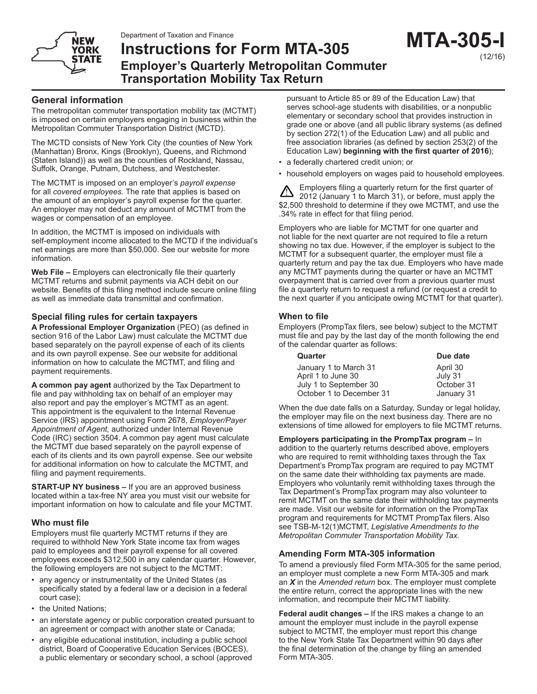# **NEW YORK STATE**

# **Instructions for Form MTA-305 Employer's Quarterly Metropolitan Commuter Transportation Mobility Tax Return**

# **General information**

The metropolitan commuter transportation mobility tax (MCTMT) is imposed on certain employers engaging in business within the Metropolitan Commuter Transportation District (MCTD).

The MCTD consists of New York City (the counties of New York (Manhattan) Bronx, Kings (Brooklyn), Queens, and Richmond (Staten Island)) as well as the counties of Rockland, Nassau, Suffolk, Orange, Putnam, Dutchess, and Westchester.

The MCTMT is imposed on an employer's *payroll expense* for all *covered employees.* The rate that applies is based on the amount of an employer's payroll expense for the quarter. An employer may not deduct any amount of MCTMT from the wages or compensation of an employee.

In addition, the MCTMT is imposed on individuals with self-employment income allocated to the MCTD if the individual's net earnings are more than \$50,000. See our website for more information.

**Web File –** Employers can electronically file their quarterly MCTMT returns and submit payments via ACH debit on our website. Benefits of this filing method include secure online filing as well as immediate data transmittal and confirmation.

# **Special filing rules for certain taxpayers**

**A Professional Employer Organization** (PEO) (as defined in section 916 of the Labor Law) must calculate the MCTMT due based separately on the payroll expense of each of its clients and its own payroll expense. See our website for additional information on how to calculate the MCTMT, and filing and payment requirements.

**A common pay agent** authorized by the Tax Department to file and pay withholding tax on behalf of an employer may also report and pay the employer's MCTMT as an agent. This appointment is the equivalent to the Internal Revenue Service (IRS) appointment using Form 2678, *Employer/Payer Appointment of Agent,* authorized under Internal Revenue Code (IRC) section 3504. A common pay agent must calculate the MCTMT due based separately on the payroll expense of each of its clients and its own payroll expense. See our website for additional information on how to calculate the MCTMT, and filing and payment requirements.

**START-UP NY business –** If you are an approved business located within a tax-free NY area you must visit our website for important information on how to calculate and file your MCTMT.

## **Who must file**

Employers must file quarterly MCTMT returns if they are required to withhold New York State income tax from wages paid to employees and their payroll expense for all covered employees exceeds \$312,500 in any calendar quarter. However, the following employers are not subject to the MCTMT:

- any agency or instrumentality of the United States (as specifically stated by a federal law or a decision in a federal court case);
- the United Nations;
- an interstate agency or public corporation created pursuant to an agreement or compact with another state or Canada;
- any eligible educational institution, including a public school district, Board of Cooperative Education Services (BOCES), a public elementary or secondary school, a school (approved

pursuant to Article 85 or 89 of the Education Law) that serves school-age students with disabilities, or a nonpublic elementary or secondary school that provides instruction in grade one or above (and all public library systems (as defined by section 272(1) of the Education Law) and all public and free association libraries (as defined by section 253(2) of the Education Law) **beginning with the first quarter of 2016**);

- a federally chartered credit union; or
- household employers on wages paid to household employees.

Employers filing a quarterly return for the first quarter of ╩ 2012 (January 1 to March 31), or before, must apply the \$2,500 threshold to determine if they owe MCTMT, and use the .34% rate in effect for that filing period.

Employers who are liable for MCTMT for one quarter and not liable for the next quarter are not required to file a return showing no tax due. However, if the employer is subject to the MCTMT for a subsequent quarter, the employer must file a quarterly return and pay the tax due. Employers who have made any MCTMT payments during the quarter or have an MCTMT overpayment that is carried over from a previous quarter must file a quarterly return to request a refund (or request a credit to the next quarter if you anticipate owing MCTMT for that quarter).

# **When to file**

Employers (PrompTax filers, see below) subject to the MCTMT must file and pay by the last day of the month following the end of the calendar quarter as follows:

| Quarter                  | Due date   |
|--------------------------|------------|
| January 1 to March 31    | April 30   |
| April 1 to June 30       | July 31    |
| July 1 to September 30   | October 31 |
| October 1 to December 31 | January 31 |

When the due date falls on a Saturday, Sunday or legal holiday, the employer may file on the next business day. There are no extensions of time allowed for employers to file MCTMT returns.

**Employers participating in the PrompTax program –** In addition to the quarterly returns described above, employers who are required to remit withholding taxes through the Tax Department's PrompTax program are required to pay MCTMT on the same date their withholding tax payments are made. Employers who voluntarily remit withholding taxes through the Tax Department's PrompTax program may also volunteer to remit MCTMT on the same date their withholding tax payments are made. Visit our website for information on the PrompTax program and requirements for MCTMT PrompTax filers. Also see TSB-M-12(1)MCTMT, *Legislative Amendments to the Metropolitan Commuter Transportation Mobility Tax.*

## **Amending Form MTA-305 information**

To amend a previously filed Form MTA-305 for the same period, an employer must complete a new Form MTA-305 and mark an *X* in the *Amended return* box. The employer must complete the entire return, correct the appropriate lines with the new information, and recompute their MCTMT liability.

**Federal audit changes –** If the IRS makes a change to an amount the employer must include in the payroll expense subject to MCTMT, the employer must report this change to the New York State Tax Department within 90 days after the final determination of the change by filing an amended Form MTA-305.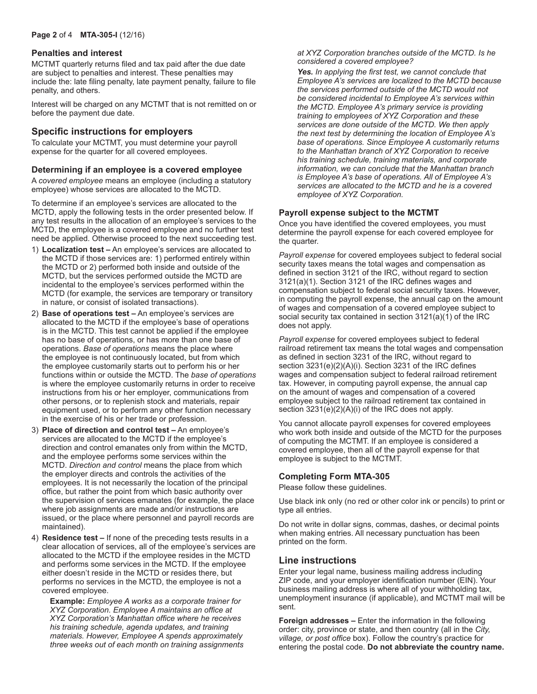#### **Penalties and interest**

MCTMT quarterly returns filed and tax paid after the due date are subject to penalties and interest. These penalties may include the: late filing penalty, late payment penalty, failure to file penalty, and others.

Interest will be charged on any MCTMT that is not remitted on or before the payment due date.

## **Specific instructions for employers**

To calculate your MCTMT, you must determine your payroll expense for the quarter for all covered employees.

#### **Determining if an employee is a covered employee**

A *covered employee* means an employee (including a statutory employee) whose services are allocated to the MCTD.

To determine if an employee's services are allocated to the MCTD, apply the following tests in the order presented below. If any test results in the allocation of an employee's services to the MCTD, the employee is a covered employee and no further test need be applied. Otherwise proceed to the next succeeding test.

- 1) **Localization test –** An employee's services are allocated to the MCTD if those services are: 1) performed entirely within the MCTD or 2) performed both inside and outside of the MCTD, but the services performed outside the MCTD are incidental to the employee's services performed within the MCTD (for example, the services are temporary or transitory in nature, or consist of isolated transactions).
- 2) **Base of operations test –** An employee's services are allocated to the MCTD if the employee's base of operations is in the MCTD. This test cannot be applied if the employee has no base of operations, or has more than one base of operations. *Base of operations* means the place where the employee is not continuously located, but from which the employee customarily starts out to perform his or her functions within or outside the MCTD. The *base of operations* is where the employee customarily returns in order to receive instructions from his or her employer, communications from other persons, or to replenish stock and materials, repair equipment used, or to perform any other function necessary in the exercise of his or her trade or profession.
- 3) **Place of direction and control test –** An employee's services are allocated to the MCTD if the employee's direction and control emanates only from within the MCTD, and the employee performs some services within the MCTD. *Direction and control* means the place from which the employer directs and controls the activities of the employees. It is not necessarily the location of the principal office, but rather the point from which basic authority over the supervision of services emanates (for example, the place where job assignments are made and/or instructions are issued, or the place where personnel and payroll records are maintained).
- 4) **Residence test –** If none of the preceding tests results in a clear allocation of services, all of the employee's services are allocated to the MCTD if the employee resides in the MCTD and performs some services in the MCTD. If the employee either doesn't reside in the MCTD or resides there, but performs no services in the MCTD, the employee is not a covered employee.

 **Example:** *Employee A works as a corporate trainer for XYZ Corporation. Employee A maintains an office at XYZ Corporation's Manhattan office where he receives his training schedule, agenda updates, and training materials. However, Employee A spends approximately three weeks out of each month on training assignments*  *at XYZ Corporation branches outside of the MCTD. Is he considered a covered employee?*

 *Yes. In applying the first test, we cannot conclude that Employee A's services are localized to the MCTD because the services performed outside of the MCTD would not be considered incidental to Employee A's services within the MCTD. Employee A's primary service is providing training to employees of XYZ Corporation and these services are done outside of the MCTD. We then apply the next test by determining the location of Employee A's base of operations. Since Employee A customarily returns to the Manhattan branch of XYZ Corporation to receive his training schedule, training materials, and corporate information, we can conclude that the Manhattan branch is Employee A's base of operations. All of Employee A's services are allocated to the MCTD and he is a covered employee of XYZ Corporation.*

### **Payroll expense subject to the MCTMT**

Once you have identified the covered employees, you must determine the payroll expense for each covered employee for the quarter.

*Payroll expense* for covered employees subject to federal social security taxes means the total wages and compensation as defined in section 3121 of the IRC, without regard to section 3121(a)(1). Section 3121 of the IRC defines wages and compensation subject to federal social security taxes. However, in computing the payroll expense, the annual cap on the amount of wages and compensation of a covered employee subject to social security tax contained in section 3121(a)(1) of the IRC does not apply.

*Payroll expense* for covered employees subject to federal railroad retirement tax means the total wages and compensation as defined in section 3231 of the IRC, without regard to section 3231(e)(2)(A)(i). Section 3231 of the IRC defines wages and compensation subject to federal railroad retirement tax. However, in computing payroll expense, the annual cap on the amount of wages and compensation of a covered employee subject to the railroad retirement tax contained in section 3231(e)(2)(A)(i) of the IRC does not apply.

You cannot allocate payroll expenses for covered employees who work both inside and outside of the MCTD for the purposes of computing the MCTMT. If an employee is considered a covered employee, then all of the payroll expense for that employee is subject to the MCTMT.

#### **Completing Form MTA-305**

Please follow these guidelines.

Use black ink only (no red or other color ink or pencils) to print or type all entries.

Do not write in dollar signs, commas, dashes, or decimal points when making entries. All necessary punctuation has been printed on the form.

## **Line instructions**

Enter your legal name, business mailing address including ZIP code, and your employer identification number (EIN). Your business mailing address is where all of your withholding tax, unemployment insurance (if applicable), and MCTMT mail will be sent.

**Foreign addresses –** Enter the information in the following order: city, province or state, and then country (all in the *City, village, or post office* box). Follow the country's practice for entering the postal code. **Do not abbreviate the country name.**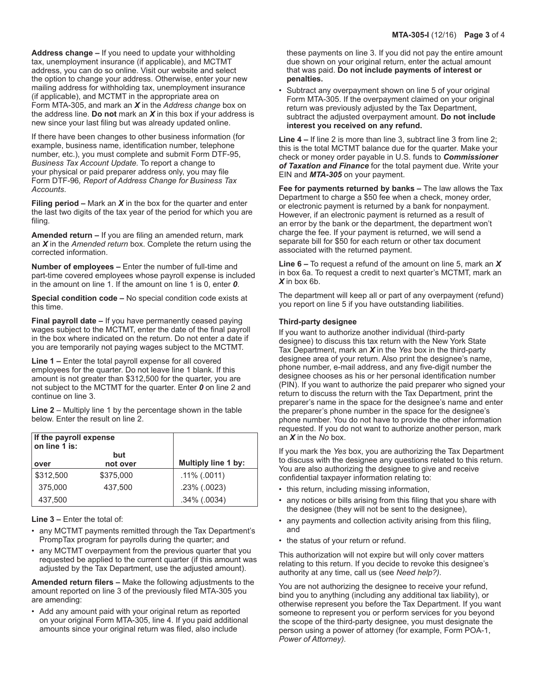**Address change –** If you need to update your withholding tax, unemployment insurance (if applicable), and MCTMT address, you can do so online. Visit our website and select the option to change your address. Otherwise, enter your new mailing address for withholding tax, unemployment insurance (if applicable), and MCTMT in the appropriate area on Form MTA-305, and mark an *X* in the *Address change* box on the address line. **Do not** mark an *X* in this box if your address is new since your last filing but was already updated online.

If there have been changes to other business information (for example, business name, identification number, telephone number, etc.), you must complete and submit Form DTF-95, *Business Tax Account Update.* To report a change to your physical or paid preparer address only, you may file Form DTF-96*, Report of Address Change for Business Tax Accounts*.

**Filing period –** Mark an *X* in the box for the quarter and enter the last two digits of the tax year of the period for which you are filing.

**Amended return –** If you are filing an amended return, mark an *X* in the *Amended return* box. Complete the return using the corrected information.

**Number of employees –** Enter the number of full-time and part-time covered employees whose payroll expense is included in the amount on line 1. If the amount on line 1 is 0, enter *0*.

**Special condition code –** No special condition code exists at this time.

**Final payroll date –** If you have permanently ceased paying wages subject to the MCTMT, enter the date of the final payroll in the box where indicated on the return. Do not enter a date if you are temporarily not paying wages subject to the MCTMT.

**Line 1 –** Enter the total payroll expense for all covered employees for the quarter. Do not leave line 1 blank. If this amount is not greater than \$312,500 for the quarter, you are not subject to the MCTMT for the quarter. Enter *0* on line 2 and continue on line 3.

**Line 2** – Multiply line 1 by the percentage shown in the table below. Enter the result on line 2.

| If the payroll expense<br>on line 1 is: |                 |                            |
|-----------------------------------------|-----------------|----------------------------|
| over                                    | but<br>not over | <b>Multiply line 1 by:</b> |
| \$312,500                               | \$375,000       | $.11\%$ (.0011)            |
| 375,000                                 | 437,500         | $.23\%$ $(.0023)$          |
| 437,500                                 |                 | $.34\%$ $(.0034)$          |

**Line 3 –** Enter the total of:

- any MCTMT payments remitted through the Tax Department's PrompTax program for payrolls during the quarter; and
- any MCTMT overpayment from the previous quarter that you requested be applied to the current quarter (if this amount was adjusted by the Tax Department, use the adjusted amount).

**Amended return filers –** Make the following adjustments to the amount reported on line 3 of the previously filed MTA-305 you are amending:

• Add any amount paid with your original return as reported on your original Form MTA-305, line 4. If you paid additional amounts since your original return was filed, also include

these payments on line 3. If you did not pay the entire amount due shown on your original return, enter the actual amount that was paid. **Do not include payments of interest or penalties.**

Subtract any overpayment shown on line 5 of your original Form MTA-305. If the overpayment claimed on your original return was previously adjusted by the Tax Department, subtract the adjusted overpayment amount. **Do not include interest you received on any refund.**

**Line 4 –** If line 2 is more than line 3, subtract line 3 from line 2; this is the total MCTMT balance due for the quarter. Make your check or money order payable in U.S. funds to *Commissioner of Taxation and Finance* for the total payment due. Write your EIN and *MTA-305* on your payment.

**Fee for payments returned by banks –** The law allows the Tax Department to charge a \$50 fee when a check, money order, or electronic payment is returned by a bank for nonpayment. However, if an electronic payment is returned as a result of an error by the bank or the department, the department won't charge the fee. If your payment is returned, we will send a separate bill for \$50 for each return or other tax document associated with the returned payment.

**Line 6 –** To request a refund of the amount on line 5, mark an *X*  in box 6a. To request a credit to next quarter's MCTMT, mark an *X* in box 6b.

The department will keep all or part of any overpayment (refund) you report on line 5 if you have outstanding liabilities.

#### **Third-party designee**

If you want to authorize another individual (third-party designee) to discuss this tax return with the New York State Tax Department, mark an *X* in the *Yes* box in the third-party designee area of your return. Also print the designee's name, phone number, e-mail address, and any five-digit number the designee chooses as his or her personal identification number (PIN). If you want to authorize the paid preparer who signed your return to discuss the return with the Tax Department, print the preparer's name in the space for the designee's name and enter the preparer's phone number in the space for the designee's phone number. You do not have to provide the other information requested. If you do not want to authorize another person, mark an *X* in the *No* box.

If you mark the *Yes* box, you are authorizing the Tax Department to discuss with the designee any questions related to this return. You are also authorizing the designee to give and receive confidential taxpayer information relating to:

- this return, including missing information,
- any notices or bills arising from this filing that you share with the designee (they will not be sent to the designee),
- any payments and collection activity arising from this filing, and
- the status of your return or refund.

This authorization will not expire but will only cover matters relating to this return. If you decide to revoke this designee's authority at any time, call us (see *Need help?).*

You are not authorizing the designee to receive your refund, bind you to anything (including any additional tax liability), or otherwise represent you before the Tax Department. If you want someone to represent you or perform services for you beyond the scope of the third-party designee, you must designate the person using a power of attorney (for example, Form POA-1, *Power of Attorney).*